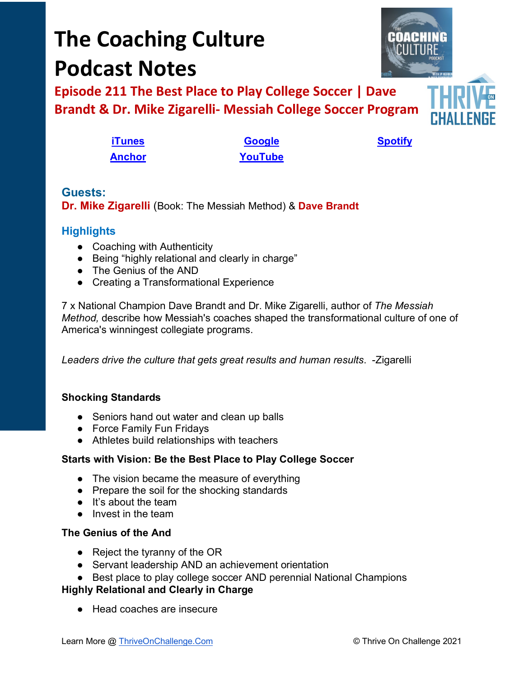# **The Coaching Culture Podcast Notes**

**Episode 211 The Best Place to Play College Soccer | Dave Brandt & Dr. Mike Zigarelli- Messiah College Soccer Program**

**[iTunes](https://tinyurl.com/y68cvd4x) [Google](https://tinyurl.com/xhduf9bw) [Spotify](https://tinyurl.com/3sf9cp5h) [Anchor](https://tinyurl.com/4yhexz6d) [YouTube](https://www.youtube.com/channel/UC3vIljCBzwHcPyVIx9kiHvw)**

**Guests: Dr. Mike Zigarelli** (Book: The Messiah Method) & **Dave Brandt**

## **Highlights**

- Coaching with Authenticity
- Being "highly relational and clearly in charge"
- The Genius of the AND
- Creating a Transformational Experience

7 x National Champion Dave Brandt and Dr. Mike Zigarelli, author of *The Messiah Method,* describe how Messiah's coaches shaped the transformational culture of one of America's winningest collegiate programs.

*Leaders drive the culture that gets great results and human results*. -Zigarelli

## **Shocking Standards**

- Seniors hand out water and clean up balls
- Force Family Fun Fridays
- Athletes build relationships with teachers

## **Starts with Vision: Be the Best Place to Play College Soccer**

- The vision became the measure of everything
- Prepare the soil for the shocking standards
- It's about the team
- Invest in the team

## **The Genius of the And**

- Reject the tyranny of the OR
- Servant leadership AND an achievement orientation
- Best place to play college soccer AND perennial National Champions

#### **Highly Relational and Clearly in Charge**

● Head coaches are insecure